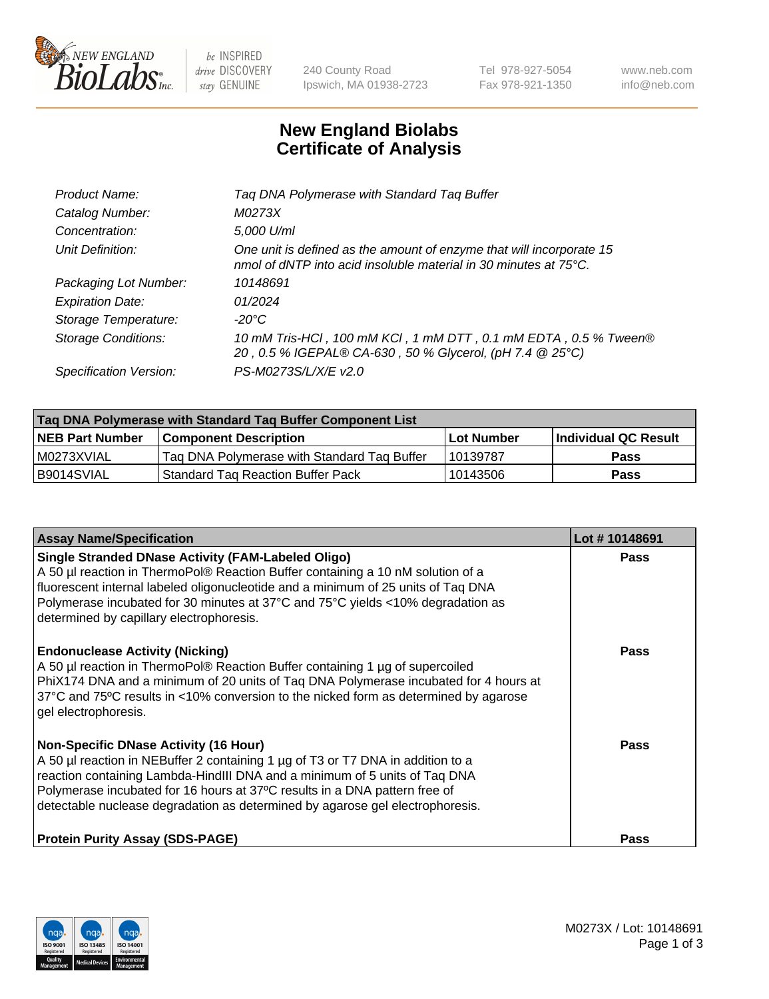

be INSPIRED drive DISCOVERY stay GENUINE

240 County Road Ipswich, MA 01938-2723 Tel 978-927-5054 Fax 978-921-1350 www.neb.com info@neb.com

## **New England Biolabs Certificate of Analysis**

| Product Name:              | Tag DNA Polymerase with Standard Tag Buffer                                                                                                        |
|----------------------------|----------------------------------------------------------------------------------------------------------------------------------------------------|
| Catalog Number:            | M0273X                                                                                                                                             |
| Concentration:             | 5,000 U/ml                                                                                                                                         |
| Unit Definition:           | One unit is defined as the amount of enzyme that will incorporate 15<br>nmol of dNTP into acid insoluble material in 30 minutes at $75^{\circ}$ C. |
| Packaging Lot Number:      | 10148691                                                                                                                                           |
| <b>Expiration Date:</b>    | 01/2024                                                                                                                                            |
| Storage Temperature:       | $-20^{\circ}$ C                                                                                                                                    |
| <b>Storage Conditions:</b> | 10 mM Tris-HCl, 100 mM KCl, 1 mM DTT, 0.1 mM EDTA, 0.5 % Tween®<br>20, 0.5 % IGEPAL® CA-630, 50 % Glycerol, (pH 7.4 @ 25°C)                        |
| Specification Version:     | PS-M0273S/L/X/E v2.0                                                                                                                               |

| Tag DNA Polymerase with Standard Tag Buffer Component List |                                             |            |                      |  |
|------------------------------------------------------------|---------------------------------------------|------------|----------------------|--|
| <b>NEB Part Number</b>                                     | <b>Component Description</b>                | Lot Number | Individual QC Result |  |
| M0273XVIAL                                                 | Tag DNA Polymerase with Standard Tag Buffer | 10139787   | Pass                 |  |
| B9014SVIAL                                                 | <b>Standard Tag Reaction Buffer Pack</b>    | 10143506   | Pass                 |  |

| <b>Assay Name/Specification</b>                                                                                                                                                                                                                                                                                                                                              | Lot #10148691 |
|------------------------------------------------------------------------------------------------------------------------------------------------------------------------------------------------------------------------------------------------------------------------------------------------------------------------------------------------------------------------------|---------------|
| <b>Single Stranded DNase Activity (FAM-Labeled Oligo)</b><br>A 50 µl reaction in ThermoPol® Reaction Buffer containing a 10 nM solution of a<br>fluorescent internal labeled oligonucleotide and a minimum of 25 units of Taq DNA<br>Polymerase incubated for 30 minutes at 37°C and 75°C yields <10% degradation as<br>determined by capillary electrophoresis.             | Pass          |
| <b>Endonuclease Activity (Nicking)</b><br>A 50 µl reaction in ThermoPol® Reaction Buffer containing 1 µg of supercoiled<br>PhiX174 DNA and a minimum of 20 units of Taq DNA Polymerase incubated for 4 hours at<br>37°C and 75°C results in <10% conversion to the nicked form as determined by agarose<br>gel electrophoresis.                                              | Pass          |
| <b>Non-Specific DNase Activity (16 Hour)</b><br>A 50 µl reaction in NEBuffer 2 containing 1 µg of T3 or T7 DNA in addition to a<br>reaction containing Lambda-HindIII DNA and a minimum of 5 units of Taq DNA<br>Polymerase incubated for 16 hours at 37°C results in a DNA pattern free of<br>detectable nuclease degradation as determined by agarose gel electrophoresis. | Pass          |
| <b>Protein Purity Assay (SDS-PAGE)</b>                                                                                                                                                                                                                                                                                                                                       | Pass          |

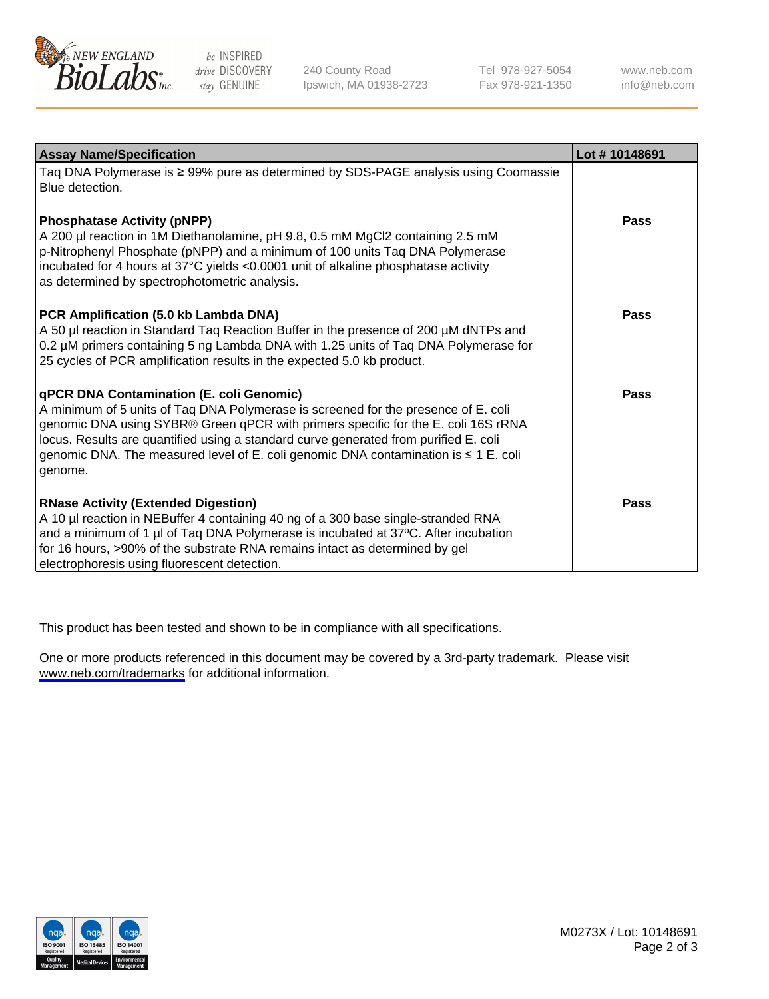

be INSPIRED drive DISCOVERY stay GENUINE

240 County Road Ipswich, MA 01938-2723 Tel 978-927-5054 Fax 978-921-1350

www.neb.com info@neb.com

| <b>Assay Name/Specification</b>                                                                                                                                                                                                                                                                                                                                                                                      | Lot #10148691 |
|----------------------------------------------------------------------------------------------------------------------------------------------------------------------------------------------------------------------------------------------------------------------------------------------------------------------------------------------------------------------------------------------------------------------|---------------|
| Taq DNA Polymerase is ≥ 99% pure as determined by SDS-PAGE analysis using Coomassie<br>Blue detection.                                                                                                                                                                                                                                                                                                               |               |
| <b>Phosphatase Activity (pNPP)</b><br>A 200 µl reaction in 1M Diethanolamine, pH 9.8, 0.5 mM MgCl2 containing 2.5 mM<br>p-Nitrophenyl Phosphate (pNPP) and a minimum of 100 units Taq DNA Polymerase<br>incubated for 4 hours at 37°C yields <0.0001 unit of alkaline phosphatase activity<br>as determined by spectrophotometric analysis.                                                                          | <b>Pass</b>   |
| PCR Amplification (5.0 kb Lambda DNA)<br>A 50 µl reaction in Standard Taq Reaction Buffer in the presence of 200 µM dNTPs and<br>0.2 µM primers containing 5 ng Lambda DNA with 1.25 units of Taq DNA Polymerase for<br>25 cycles of PCR amplification results in the expected 5.0 kb product.                                                                                                                       | <b>Pass</b>   |
| <b>qPCR DNA Contamination (E. coli Genomic)</b><br>A minimum of 5 units of Taq DNA Polymerase is screened for the presence of E. coli<br>genomic DNA using SYBR® Green qPCR with primers specific for the E. coli 16S rRNA<br>locus. Results are quantified using a standard curve generated from purified E. coli<br>genomic DNA. The measured level of E. coli genomic DNA contamination is ≤ 1 E. coli<br>genome. | <b>Pass</b>   |
| <b>RNase Activity (Extended Digestion)</b><br>A 10 µl reaction in NEBuffer 4 containing 40 ng of a 300 base single-stranded RNA<br>and a minimum of 1 µl of Taq DNA Polymerase is incubated at 37°C. After incubation<br>for 16 hours, >90% of the substrate RNA remains intact as determined by gel<br>electrophoresis using fluorescent detection.                                                                 | Pass          |

This product has been tested and shown to be in compliance with all specifications.

One or more products referenced in this document may be covered by a 3rd-party trademark. Please visit <www.neb.com/trademarks>for additional information.